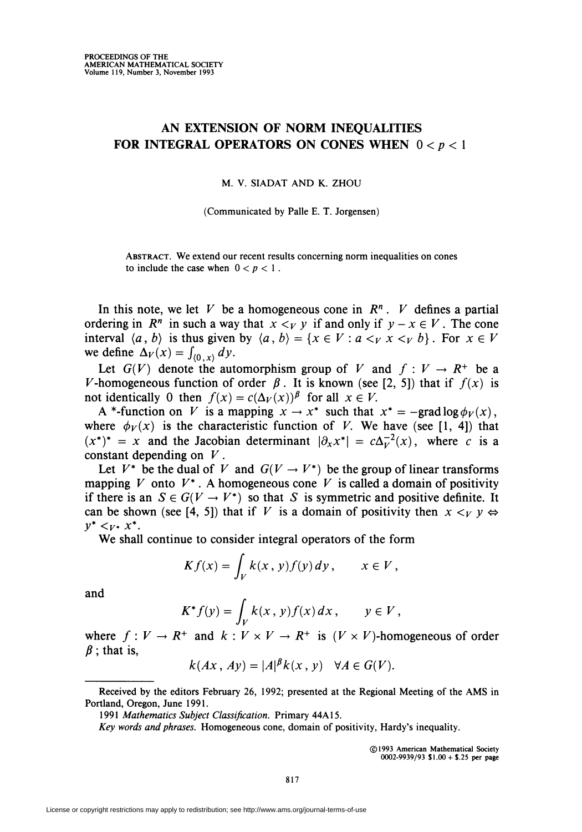## AN EXTENSION OF NORM INEQUALITIES FOR INTEGRAL OPERATORS ON CONES WHEN  $0 < p < 1$

M. V. SIADAT AND K. ZHOU

(Communicated by Palle E. T. Jorgensen)

Abstract. We extend our recent results concerning norm inequalities on cones to include the case when  $0 < p < 1$ .

In this note, we let V be a homogeneous cone in  $\mathbb{R}^n$ . V defines a partial ordering in  $R^n$  in such a way that  $x \leq_V y$  if and only if  $y - x \in V$ . The cone interval  $\langle a, b \rangle$  is thus given by  $\langle a, b \rangle = \{x \in V : a \leq_V x \leq_V b\}$ . For  $x \in V$ we define  $\Delta_V(x) = \int_{(0, x)} dy$ .

Let  $G(V)$  denote the automorphism group of V and  $f: V \to R^+$  be a V-homogeneous function of order  $\beta$ . It is known (see [2, 5]) that if  $f(x)$  is not identically 0 then  $f(x) = c(\Delta_V(x))^{\beta}$  for all  $x \in V$ .

A \*-function on V is a mapping  $x \to x^*$  such that  $x^* = -\text{grad} \log \phi_V(x)$ , where  $\phi_V(x)$  is the characteristic function of V. We have (see [1, 4]) that  $(x^*)^* = x$  and the Jacobian determinant  $\left|\partial_x x^*\right| = c\Delta_v^{-2}(x)$ , where c is a constant depending on  $V$ .

Let  $V^*$  be the dual of V and  $G(V \to V^*)$  be the group of linear transforms mapping V onto  $V^*$ . A homogeneous cone V is called a domain of positivity if there is an  $S \in G(V \to V^*)$  so that S is symmetric and positive definite. It can be shown (see [4, 5]) that if V is a domain of positivity then  $x \lt_V y \Leftrightarrow$  $y^* <_{V^*} x^*$ .

We shall continue to consider integral operators of the form

$$
Kf(x) = \int_V k(x, y) f(y) dy, \qquad x \in V,
$$

and

$$
K^* f(y) = \int_V k(x, y) f(x) dx, \qquad y \in V,
$$

where  $f: V \to R^+$  and  $k: V \times V \to R^+$  is  $(V \times V)$ -homogeneous of order  $\beta$ ; that is,

$$
k(Ax, Ay) = |A|^{\beta} k(x, y) \quad \forall A \in G(V).
$$

©1993 American Mathematical Society 0002-9939/93 \$1.00+ \$.25 per page

Received by the editors February 26, 1992; presented at the Regional Meeting of the AMS in Portland, Oregon, June 1991.

<sup>1991</sup> Mathematics Subject Classification. Primary 44A15.

Key words and phrases. Homogeneous cone, domain of positivity, Hardy's inequality.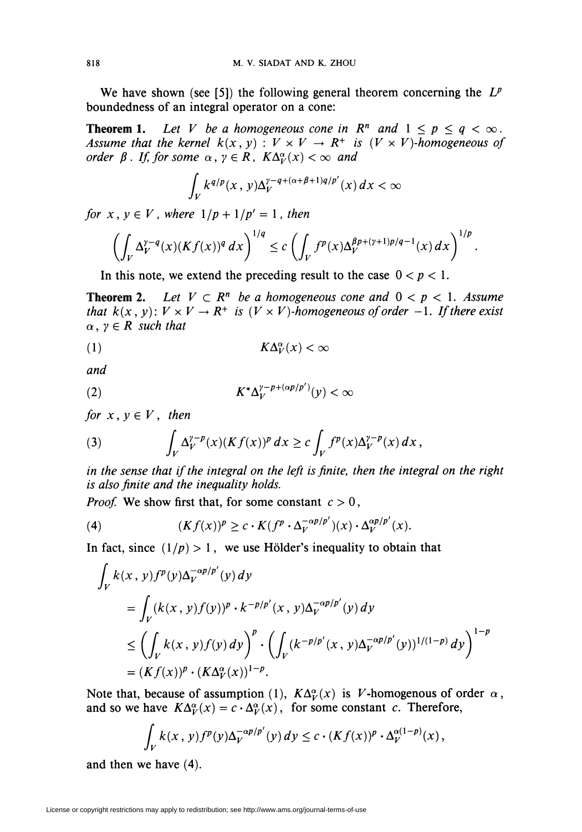We have shown (see [5]) the following general theorem concerning the  $L^p$ boundedness of an integral operator on a cone:

**Theorem 1.** Let V be a homogeneous cone in  $\mathbb{R}^n$  and  $1 \leq p \leq q < \infty$ . Assume that the kernel  $k(x, y) : V \times V \to R^+$  is  $(V \times V)$ -homogeneous of order  $\beta$ . If, for some  $\alpha, \gamma \in R$ ,  $K\Delta_V^{\alpha}(x) < \infty$  and

$$
\int_V k^{q/p}(x,y)\Delta_V^{\gamma-q+(\alpha+\beta+1)q/p'}(x)\,dx < \infty
$$

for  $x, y \in V$ , where  $1/p + 1/p' = 1$ , then

$$
\left(\int_V \Delta_V^{\gamma-q}(x) (Kf(x))^q\,dx\right)^{1/q}\leq c\left(\int_V f^p(x) \Delta_V^{\beta p+( \gamma+1)p/q-1}(x)\,dx\right)^{1/p}
$$

In this note, we extend the preceding result to the case  $0 < p < 1$ .

**Theorem 2.** Let  $V \subset \mathbb{R}^n$  be a homogeneous cone and  $0 \lt p \lt 1$ . Assume that  $k(x, y)$ :  $V \times V \rightarrow R^+$  is  $(V \times V)$ -homogeneous of order -1. If there exist  $\alpha, \gamma \in R$  such that

$$
(1) \t\t\t K\Delta_V^{\alpha}(x) < \infty
$$

and

$$
(2) \t K^* \Delta_V^{\gamma - p + (\alpha p/p')}(y) < \infty
$$

for  $x, y \in V$ , then

(3) 
$$
\int_{V} \Delta_V^{\gamma-p}(x) (Kf(x))^p dx \geq c \int_{V} f^p(x) \Delta_V^{\gamma-p}(x) dx,
$$

in the sense that if the integral on the left is finite, then the integral on the right is also finite and the inequality holds.

*Proof.* We show first that, for some constant  $c > 0$ ,

(4) 
$$
(Kf(x))^p \ge c \cdot K(f^p \cdot \Delta_V^{-\alpha p/p'})(x) \cdot \Delta_V^{\alpha p/p'}(x).
$$

In fact, since  $(1/p) > 1$ , we use Hölder's inequality to obtain that

$$
\int_{V} k(x, y) f^{p}(y) \Delta_{V}^{-\alpha p/p'}(y) dy
$$
\n
$$
= \int_{V} (k(x, y) f(y))^{p} \cdot k^{-p/p'}(x, y) \Delta_{V}^{-\alpha p/p'}(y) dy
$$
\n
$$
\leq \left( \int_{V} k(x, y) f(y) dy \right)^{p} \cdot \left( \int_{V} (k^{-p/p'}(x, y) \Delta_{V}^{-\alpha p/p'}(y))^{1/(1-p)} dy \right)^{1-p}
$$
\n
$$
= (K f(x))^{p} \cdot (K \Delta_{V}^{\alpha}(x))^{1-p}.
$$

Note that, because of assumption (1),  $K\Delta_V^{\alpha}(x)$  is V-homogenous of order  $\alpha$ , and so we have  $K\Delta_V^{\alpha}(x) = c \cdot \Delta_V^{\alpha}(x)$ , for some constant c. Therefore,

$$
\int_{V} k(x, y) f^{p}(y) \Delta_{V}^{-\alpha p/p'}(y) dy \leq c \cdot (K f(x))^{p} \cdot \Delta_{V}^{\alpha(1-p)}(x),
$$

and then we have (4).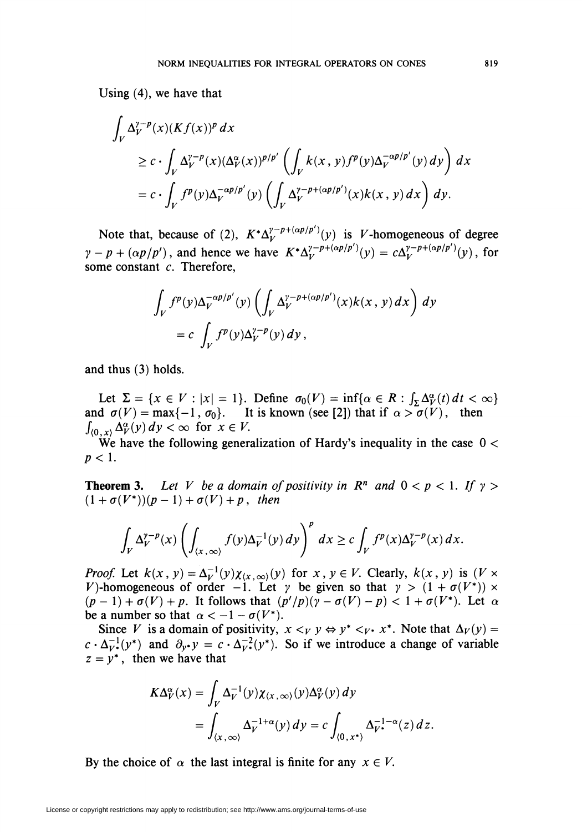Using (4), we have that

$$
\int_{V} \Delta_{V}^{\gamma-p}(x)(Kf(x))^{p} dx
$$
\n
$$
\geq c \cdot \int_{V} \Delta_{V}^{\gamma-p}(x)(\Delta_{V}^{\alpha}(x))^{p/p'} \left( \int_{V} k(x, y) f^{p}(y) \Delta_{V}^{-\alpha p/p'}(y) dy \right) dx
$$
\n
$$
= c \cdot \int_{V} f^{p}(y) \Delta_{V}^{-\alpha p/p'}(y) \left( \int_{V} \Delta_{V}^{\gamma-p+(\alpha p/p')}(x) k(x, y) dx \right) dy.
$$

Note that, because of (2),  $K^* \Delta_V^{\gamma - p + (\alpha p / p')}(\gamma)$  is V-homogeneous of degree  $\gamma - p + (\alpha p/p')$ , and hence we have  $K^* \Delta_V^{\gamma - p + (\alpha p/p')}(y) = c \Delta_V^{\gamma - p + (\alpha p/p')}(y)$ , for some constant  $c$ . Therefore,

$$
\int_{V} f^{p}(y) \Delta_{V}^{-\alpha p/p'}(y) \left( \int_{V} \Delta_{V}^{\gamma-p+(\alpha p/p')}(x) k(x, y) dx \right) dy
$$
  
= c 
$$
\int_{V} f^{p}(y) \Delta_{V}^{\gamma-p}(y) dy,
$$

and thus (3) holds.

Let  $\Sigma = \{x \in V : |x| = 1\}$ . Define  $\sigma_0(V) = \inf{\{\alpha \in R : \int_S \Delta_V^{\alpha}(t) dt < \infty\}}$ and  $\sigma(V) = \max\{-1, \sigma_0\}$ . It is known (see [2]) that if  $\alpha > \sigma(V)$ , then  $\int_{(0,x)} \Delta_V^{\alpha}(y) dy < \infty$  for  $x \in V$ .

We have the following generalization of Hardy's inequality in the case  $0 <$  $p<1$ .

**Theorem 3.** Let V be a domain of positivity in  $\mathbb{R}^n$  and  $0 < p < 1$ . If  $\gamma >$  $(1 + \sigma(V^*))(p-1) + \sigma(V) + p$ , then

$$
\int_{V} \Delta_{V}^{\gamma-p}(x) \left( \int_{\langle x, \infty \rangle} f(y) \Delta_{V}^{-1}(y) \, dy \right)^p \, dx \geq c \int_{V} f^p(x) \Delta_{V}^{\gamma-p}(x) \, dx.
$$

*Proof.* Let  $k(x, y) = \Delta_V^{-1}(y)\chi_{(x, \infty)}(y)$  for  $x, y \in V$ . Clearly,  $k(x, y)$  is  $(V \times V)$ V)-homogeneous of order -1. Let  $\gamma$  be given so that  $\gamma > (1 + \sigma(V^*)) \times$  $(p-1) + \sigma(V) + p$ . It follows that  $(p'/p)(\gamma - \sigma(V) - p) < 1 + \sigma(V^*)$ . Let  $\alpha$ be a number so that  $\alpha < -1 - \sigma(V^*)$ .

Since V is a domain of positivity,  $x \leq_V y \Leftrightarrow y^* \leq_V x^*$ . Note that  $\Delta_V(y) =$  $c \cdot \Delta_{V^*}^{-1}(y^*)$  and  $\partial_{V^*}y = c \cdot \Delta_{V^*}^{-2}(y^*)$ . So if we introduce a change of variable  $z = y^*$ , then we have that

$$
K\Delta_V^{\alpha}(x) = \int_V \Delta_V^{-1}(y) \chi_{(x,\infty)}(y) \Delta_V^{\alpha}(y) dy
$$
  
= 
$$
\int_{(x,\infty)} \Delta_V^{-1+\alpha}(y) dy = c \int_{(0,x^*)} \Delta_V^{-1-\alpha}(z) dz
$$

By the choice of  $\alpha$  the last integral is finite for any  $x \in V$ .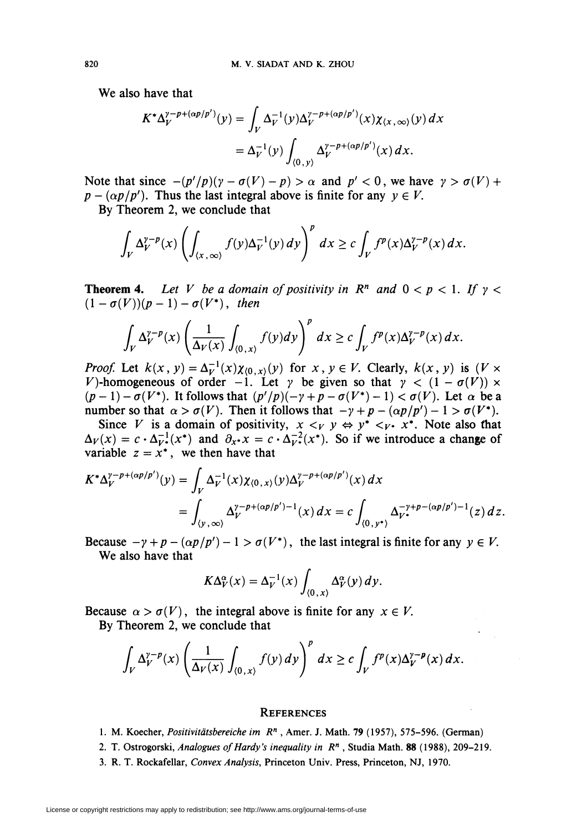We also have that

$$
K^*\Delta_V^{\gamma-p+(\alpha p/p')}(y) = \int_V \Delta_V^{-1}(y) \Delta_V^{\gamma-p+(\alpha p/p')}(x) \chi_{(x,\infty)}(y) dx
$$
  
=  $\Delta_V^{-1}(y) \int_{(0,y)} \Delta_V^{\gamma-p+(\alpha p/p')}(x) dx.$ 

Note that since  $-(p'/p)(\gamma - \sigma(V) - p) > \alpha$  and  $p' < 0$ , we have  $\gamma > \sigma(V)$  +  $p - (\alpha p/p')$ . Thus the last integral above is finite for any  $y \in V$ .

By Theorem 2, we conclude that

$$
\int_{V} \Delta_{V}^{\gamma-p}(x) \left( \int_{(x,\infty)} f(y) \Delta_{V}^{-1}(y) \, dy \right)^p \, dx \geq c \int_{V} f^p(x) \Delta_{V}^{\gamma-p}(x) \, dx.
$$

**Theorem 4.** Let V be a domain of positivity in  $\mathbb{R}^n$  and  $0 < p < 1$ . If  $\gamma <$  $(1-\sigma(V))(p-1)-\sigma(V^*)$ , then

$$
\int_{V} \Delta_{V}^{\gamma-p}(x) \left( \frac{1}{\Delta_{V}(x)} \int_{(0,x)} f(y) dy \right)^{p} dx \geq c \int_{V} f^{p}(x) \Delta_{V}^{\gamma-p}(x) dx.
$$

*Proof.* Let  $k(x, y) = \Delta_V^{-1}(x)\chi_{(0, x)}(y)$  for  $x, y \in V$ . Clearly,  $k(x, y)$  is  $(V \times V)$ V)-homogeneous of order  $-1$ . Let  $\gamma$  be given so that  $\gamma < (1 - \sigma(V)) \times$  $(p-1) - \sigma(V^*)$ . It follows that  $(p'/p)(-\gamma + p - \sigma(V^*)-1) < \sigma(V)$ . Let  $\alpha$  be a number so that  $\alpha > \sigma(V)$ . Then it follows that  $-\gamma + p - (\alpha p/p') - 1 > \sigma(V^*)$ .

Since V is a domain of positivity,  $x \leq_V y \Leftrightarrow y^* \leq_V y^*$ . Note also that  $\Delta_V(x) = c \cdot \Delta_{V^*}^{-1}(x^*)$  and  $\partial_{x^*}x = c \cdot \Delta_{V^*}^{-2}(x^*)$ . So if we introduce a change of variable  $z = x^*$ , we then have that

$$
K^* \Delta_V^{\gamma - p + (\alpha p/p')}(y) = \int_V \Delta_V^{-1}(x) \chi_{(0, x)}(y) \Delta_V^{\gamma - p + (\alpha p/p')}(x) dx
$$
  
= 
$$
\int_{(y, \infty)} \Delta_V^{\gamma - p + (\alpha p/p') - 1}(x) dx = c \int_{(0, y^*)} \Delta_V^{-\gamma + p - (\alpha p/p') - 1}(z) dz.
$$

Because  $-y+p-(\alpha p/p')-1 > \sigma(V^*)$ , the last integral is finite for any  $y \in V$ . We also have that

$$
K\Delta_V^{\alpha}(x) = \Delta_V^{-1}(x) \int_{(0, x)} \Delta_V^{\alpha}(y) \, dy.
$$

Because  $\alpha > \sigma(V)$ , the integral above is finite for any  $x \in V$ . By Theorem 2, we conclude that

$$
\int_{V} \Delta_{V}^{\gamma-p}(x) \left( \frac{1}{\Delta_{V}(x)} \int_{(0, x)} f(y) \, dy \right)^p \, dx \geq c \int_{V} f^p(x) \Delta_{V}^{\gamma-p}(x) \, dx.
$$

## **REFERENCES**

- 1. M. Koecher, Positivitdtsbereiche im R" , Amer. J. Math. 79 (1957), 575-596. (German)
- 2. T. Ostrogorski, Analogues of Hardy's inequality in  $R<sup>n</sup>$ , Studia Math. 88 (1988), 209-219.
- 3. R. T. Rockafellar, Convex Analysis, Princeton Univ. Press, Princeton, NJ, 1970.